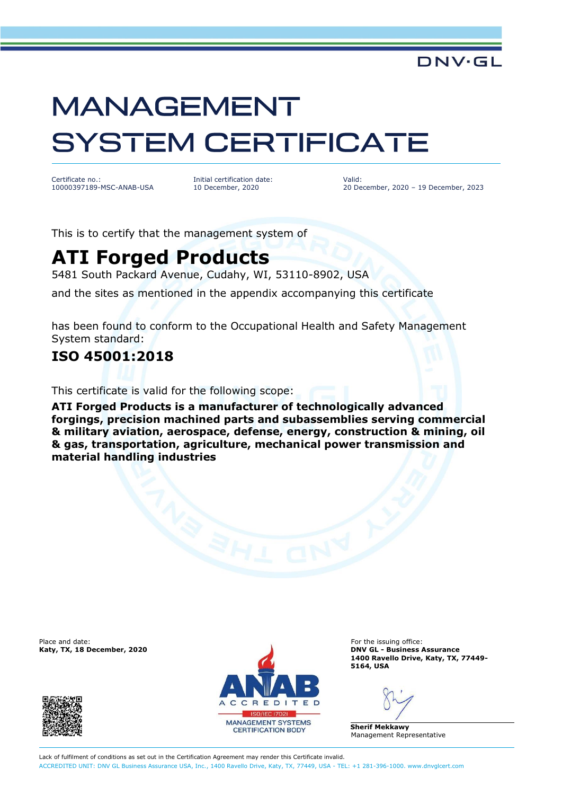### **DNV·GL**

# **MANAGEMENT SYSTEM CERTIFICATE**

Certificate no.: 10000397189-MSC-ANAB-USA Initial certification date: 10 December, 2020

Valid: 20 December, 2020 – 19 December, 2023

This is to certify that the management system of

## **ATI Forged Products**

5481 South Packard Avenue, Cudahy, WI, 53110-8902, USA

and the sites as mentioned in the appendix accompanying this certificate

has been found to conform to the Occupational Health and Safety Management System standard:

#### **ISO 45001:2018**

This certificate is valid for the following scope:

**ATI Forged Products is a manufacturer of technologically advanced forgings, precision machined parts and subassemblies serving commercial & military aviation, aerospace, defense, energy, construction & mining, oil & gas, transportation, agriculture, mechanical power transmission and material handling industries**





**Katy, TX, 18 December, 2020 DNV GL - Business Assurance 1400 Ravello Drive, Katy, TX, 77449- 5164, USA**

**Sherif Mekkawy** Management Representative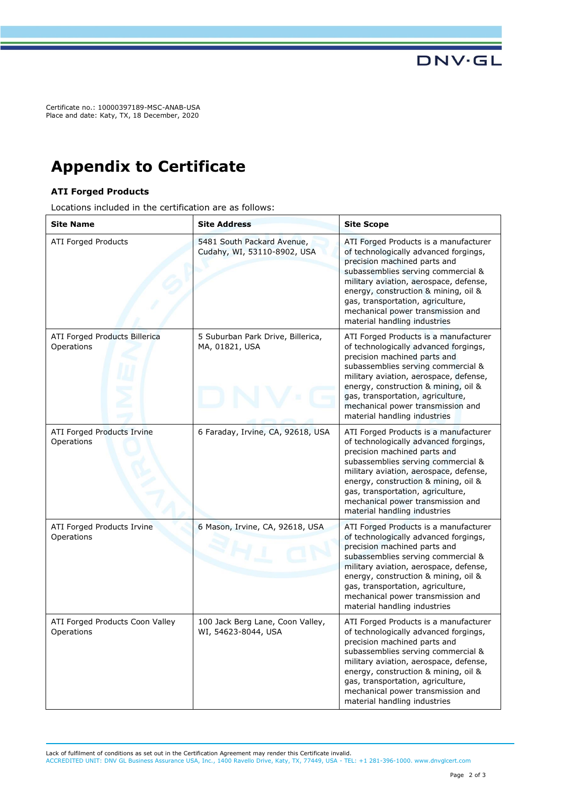Certificate no.: 10000397189-MSC-ANAB-USA Place and date: Katy, TX, 18 December, 2020

## **Appendix to Certificate**

#### **ATI Forged Products**

Locations included in the certification are as follows:

| <b>Site Name</b>                                | <b>Site Address</b>                                       | <b>Site Scope</b>                                                                                                                                                                                                                                                                                                                                |
|-------------------------------------------------|-----------------------------------------------------------|--------------------------------------------------------------------------------------------------------------------------------------------------------------------------------------------------------------------------------------------------------------------------------------------------------------------------------------------------|
| <b>ATI Forged Products</b>                      | 5481 South Packard Avenue,<br>Cudahy, WI, 53110-8902, USA | ATI Forged Products is a manufacturer<br>of technologically advanced forgings,<br>precision machined parts and<br>subassemblies serving commercial &<br>military aviation, aerospace, defense,<br>energy, construction & mining, oil &<br>gas, transportation, agriculture,<br>mechanical power transmission and<br>material handling industries |
| ATI Forged Products Billerica<br>Operations     | 5 Suburban Park Drive, Billerica,<br>MA, 01821, USA       | ATI Forged Products is a manufacturer<br>of technologically advanced forgings,<br>precision machined parts and<br>subassemblies serving commercial &<br>military aviation, aerospace, defense,<br>energy, construction & mining, oil &<br>gas, transportation, agriculture,<br>mechanical power transmission and<br>material handling industries |
| <b>ATI Forged Products Irvine</b><br>Operations | 6 Faraday, Irvine, CA, 92618, USA                         | ATI Forged Products is a manufacturer<br>of technologically advanced forgings,<br>precision machined parts and<br>subassemblies serving commercial &<br>military aviation, aerospace, defense,<br>energy, construction & mining, oil &<br>gas, transportation, agriculture,<br>mechanical power transmission and<br>material handling industries |
| ATI Forged Products Irvine<br>Operations        | 6 Mason, Irvine, CA, 92618, USA                           | ATI Forged Products is a manufacturer<br>of technologically advanced forgings,<br>precision machined parts and<br>subassemblies serving commercial &<br>military aviation, aerospace, defense,<br>energy, construction & mining, oil &<br>gas, transportation, agriculture,<br>mechanical power transmission and<br>material handling industries |
| ATI Forged Products Coon Valley<br>Operations   | 100 Jack Berg Lane, Coon Valley,<br>WI, 54623-8044, USA   | ATI Forged Products is a manufacturer<br>of technologically advanced forgings,<br>precision machined parts and<br>subassemblies serving commercial &<br>military aviation, aerospace, defense,<br>energy, construction & mining, oil &<br>gas, transportation, agriculture,<br>mechanical power transmission and<br>material handling industries |

Lack of fulfilment of conditions as set out in the Certification Agreement may render this Certificate invalid. ACCREDITED UNIT: DNV GL Business Assurance USA, Inc., 1400 Ravello Drive, Katy, TX, 77449, USA - TEL: +1 281-396-1000. [www.dnvglcert.com](http://www.dnvglcert.com)

**DNV·GL**